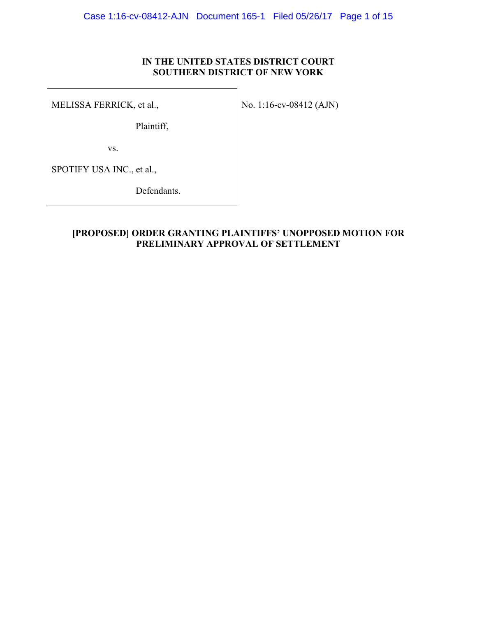# **IN THE UNITED STATES DISTRICT COURT SOUTHERN DISTRICT OF NEW YORK**

MELISSA FERRICK, et al.,

No. 1:16-cv-08412 (AJN)

Plaintiff,

vs.

SPOTIFY USA INC., et al.,

Defendants.

# **[PROPOSED] ORDER GRANTING PLAINTIFFS' UNOPPOSED MOTION FOR PRELIMINARY APPROVAL OF SETTLEMENT**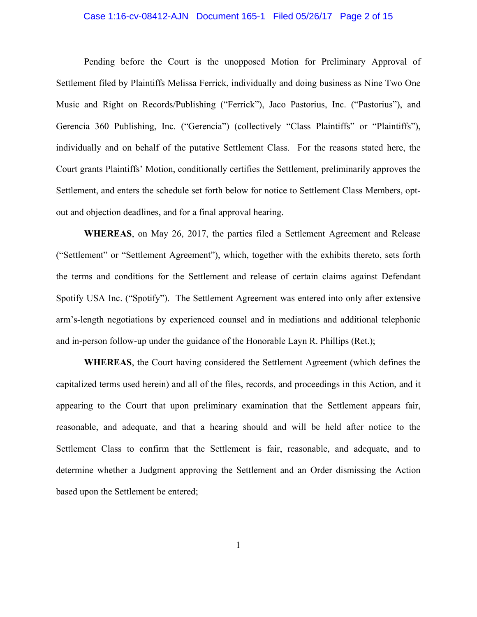### Case 1:16-cv-08412-AJN Document 165-1 Filed 05/26/17 Page 2 of 15

Pending before the Court is the unopposed Motion for Preliminary Approval of Settlement filed by Plaintiffs Melissa Ferrick, individually and doing business as Nine Two One Music and Right on Records/Publishing ("Ferrick"), Jaco Pastorius, Inc. ("Pastorius"), and Gerencia 360 Publishing, Inc. ("Gerencia") (collectively "Class Plaintiffs" or "Plaintiffs"), individually and on behalf of the putative Settlement Class. For the reasons stated here, the Court grants Plaintiffs' Motion, conditionally certifies the Settlement, preliminarily approves the Settlement, and enters the schedule set forth below for notice to Settlement Class Members, optout and objection deadlines, and for a final approval hearing.

**WHEREAS**, on May 26, 2017, the parties filed a Settlement Agreement and Release ("Settlement" or "Settlement Agreement"), which, together with the exhibits thereto, sets forth the terms and conditions for the Settlement and release of certain claims against Defendant Spotify USA Inc. ("Spotify"). The Settlement Agreement was entered into only after extensive arm's-length negotiations by experienced counsel and in mediations and additional telephonic and in-person follow-up under the guidance of the Honorable Layn R. Phillips (Ret.);

**WHEREAS**, the Court having considered the Settlement Agreement (which defines the capitalized terms used herein) and all of the files, records, and proceedings in this Action, and it appearing to the Court that upon preliminary examination that the Settlement appears fair, reasonable, and adequate, and that a hearing should and will be held after notice to the Settlement Class to confirm that the Settlement is fair, reasonable, and adequate, and to determine whether a Judgment approving the Settlement and an Order dismissing the Action based upon the Settlement be entered;

1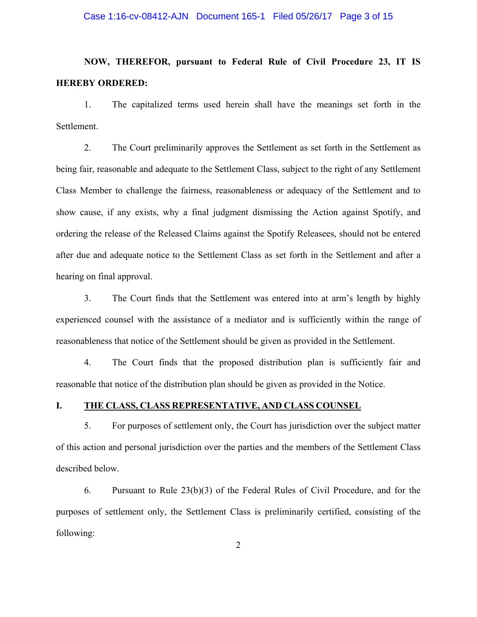## Case 1:16-cv-08412-AJN Document 165-1 Filed 05/26/17 Page 3 of 15

# **NOW, THEREFOR, pursuant to Federal Rule of Civil Procedure 23, IT IS HEREBY ORDERED:**

1. The capitalized terms used herein shall have the meanings set forth in the Settlement.

2. The Court preliminarily approves the Settlement as set forth in the Settlement as being fair, reasonable and adequate to the Settlement Class, subject to the right of any Settlement Class Member to challenge the fairness, reasonableness or adequacy of the Settlement and to show cause, if any exists, why a final judgment dismissing the Action against Spotify, and ordering the release of the Released Claims against the Spotify Releasees, should not be entered after due and adequate notice to the Settlement Class as set forth in the Settlement and after a hearing on final approval.

3. The Court finds that the Settlement was entered into at arm's length by highly experienced counsel with the assistance of a mediator and is sufficiently within the range of reasonableness that notice of the Settlement should be given as provided in the Settlement.

4. The Court finds that the proposed distribution plan is sufficiently fair and reasonable that notice of the distribution plan should be given as provided in the Notice.

## **I. THE CLASS, CLASS REPRESENTATIVE, AND CLASS COUNSEL**

5. For purposes of settlement only, the Court has jurisdiction over the subject matter of this action and personal jurisdiction over the parties and the members of the Settlement Class described below.

6. Pursuant to Rule 23(b)(3) of the Federal Rules of Civil Procedure, and for the purposes of settlement only, the Settlement Class is preliminarily certified, consisting of the following: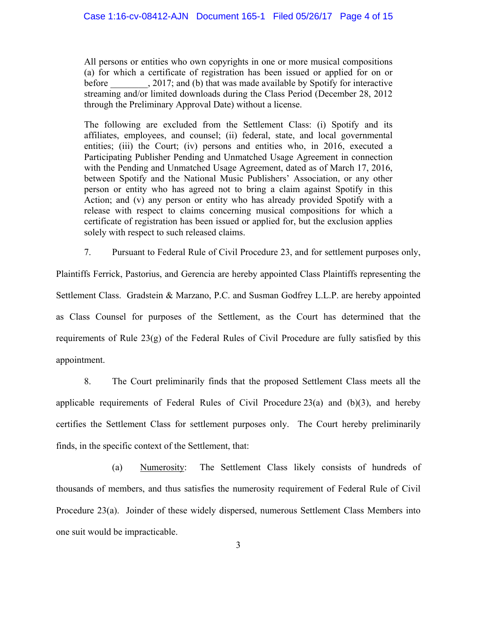All persons or entities who own copyrights in one or more musical compositions (a) for which a certificate of registration has been issued or applied for on or before a call 2017; and (b) that was made available by Spotify for interactive streaming and/or limited downloads during the Class Period (December 28, 2012 through the Preliminary Approval Date) without a license.

The following are excluded from the Settlement Class: (i) Spotify and its affiliates, employees, and counsel; (ii) federal, state, and local governmental entities; (iii) the Court; (iv) persons and entities who, in 2016, executed a Participating Publisher Pending and Unmatched Usage Agreement in connection with the Pending and Unmatched Usage Agreement, dated as of March 17, 2016, between Spotify and the National Music Publishers' Association, or any other person or entity who has agreed not to bring a claim against Spotify in this Action; and (v) any person or entity who has already provided Spotify with a release with respect to claims concerning musical compositions for which a certificate of registration has been issued or applied for, but the exclusion applies solely with respect to such released claims.

7. Pursuant to Federal Rule of Civil Procedure 23, and for settlement purposes only,

Plaintiffs Ferrick, Pastorius, and Gerencia are hereby appointed Class Plaintiffs representing the Settlement Class. Gradstein & Marzano, P.C. and Susman Godfrey L.L.P. are hereby appointed as Class Counsel for purposes of the Settlement, as the Court has determined that the requirements of Rule 23(g) of the Federal Rules of Civil Procedure are fully satisfied by this appointment.

8. The Court preliminarily finds that the proposed Settlement Class meets all the applicable requirements of Federal Rules of Civil Procedure  $23(a)$  and  $(b)(3)$ , and hereby certifies the Settlement Class for settlement purposes only. The Court hereby preliminarily finds, in the specific context of the Settlement, that:

(a) Numerosity: The Settlement Class likely consists of hundreds of thousands of members, and thus satisfies the numerosity requirement of Federal Rule of Civil Procedure 23(a). Joinder of these widely dispersed, numerous Settlement Class Members into one suit would be impracticable.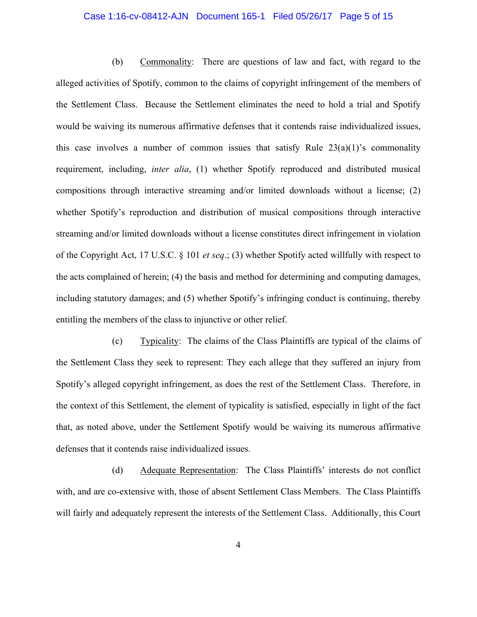## Case 1:16-cv-08412-AJN Document 165-1 Filed 05/26/17 Page 5 of 15

(b) Commonality: There are questions of law and fact, with regard to the alleged activities of Spotify, common to the claims of copyright infringement of the members of the Settlement Class. Because the Settlement eliminates the need to hold a trial and Spotify would be waiving its numerous affirmative defenses that it contends raise individualized issues, this case involves a number of common issues that satisfy Rule  $23(a)(1)$ 's commonality requirement, including, *inter alia*, (1) whether Spotify reproduced and distributed musical compositions through interactive streaming and/or limited downloads without a license; (2) whether Spotify's reproduction and distribution of musical compositions through interactive streaming and/or limited downloads without a license constitutes direct infringement in violation of the Copyright Act, 17 U.S.C. § 101 *et seq*.; (3) whether Spotify acted willfully with respect to the acts complained of herein; (4) the basis and method for determining and computing damages, including statutory damages; and (5) whether Spotify's infringing conduct is continuing, thereby entitling the members of the class to injunctive or other relief.

(c) Typicality: The claims of the Class Plaintiffs are typical of the claims of the Settlement Class they seek to represent: They each allege that they suffered an injury from Spotify's alleged copyright infringement, as does the rest of the Settlement Class. Therefore, in the context of this Settlement, the element of typicality is satisfied, especially in light of the fact that, as noted above, under the Settlement Spotify would be waiving its numerous affirmative defenses that it contends raise individualized issues.

(d) Adequate Representation: The Class Plaintiffs' interests do not conflict with, and are co-extensive with, those of absent Settlement Class Members. The Class Plaintiffs will fairly and adequately represent the interests of the Settlement Class. Additionally, this Court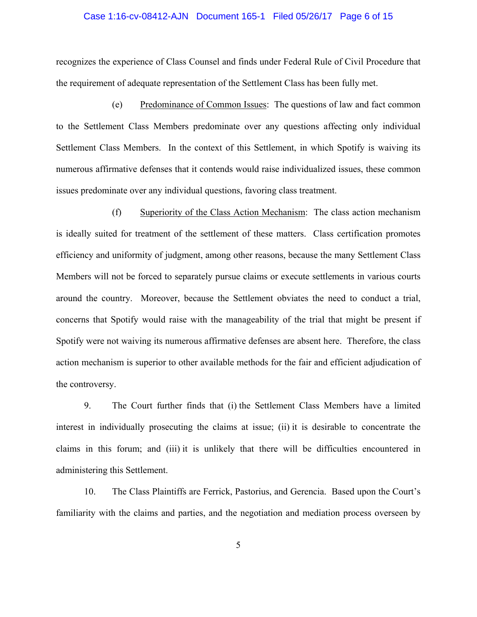#### Case 1:16-cv-08412-AJN Document 165-1 Filed 05/26/17 Page 6 of 15

recognizes the experience of Class Counsel and finds under Federal Rule of Civil Procedure that the requirement of adequate representation of the Settlement Class has been fully met.

(e) Predominance of Common Issues: The questions of law and fact common to the Settlement Class Members predominate over any questions affecting only individual Settlement Class Members. In the context of this Settlement, in which Spotify is waiving its numerous affirmative defenses that it contends would raise individualized issues, these common issues predominate over any individual questions, favoring class treatment.

(f) Superiority of the Class Action Mechanism: The class action mechanism is ideally suited for treatment of the settlement of these matters. Class certification promotes efficiency and uniformity of judgment, among other reasons, because the many Settlement Class Members will not be forced to separately pursue claims or execute settlements in various courts around the country. Moreover, because the Settlement obviates the need to conduct a trial, concerns that Spotify would raise with the manageability of the trial that might be present if Spotify were not waiving its numerous affirmative defenses are absent here. Therefore, the class action mechanism is superior to other available methods for the fair and efficient adjudication of the controversy.

9. The Court further finds that (i) the Settlement Class Members have a limited interest in individually prosecuting the claims at issue; (ii) it is desirable to concentrate the claims in this forum; and (iii) it is unlikely that there will be difficulties encountered in administering this Settlement.

10. The Class Plaintiffs are Ferrick, Pastorius, and Gerencia. Based upon the Court's familiarity with the claims and parties, and the negotiation and mediation process overseen by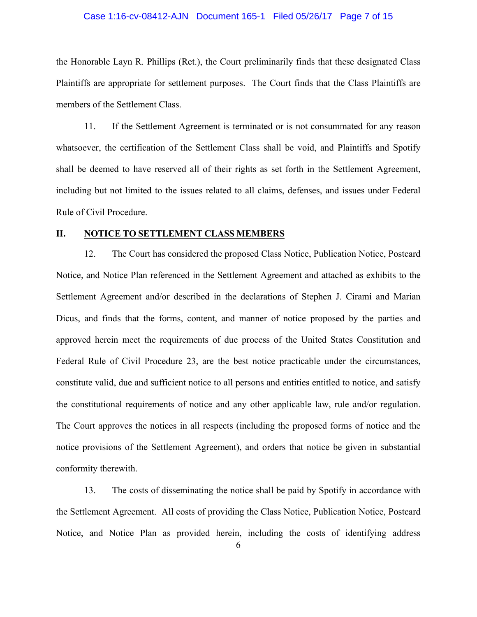#### Case 1:16-cv-08412-AJN Document 165-1 Filed 05/26/17 Page 7 of 15

the Honorable Layn R. Phillips (Ret.), the Court preliminarily finds that these designated Class Plaintiffs are appropriate for settlement purposes. The Court finds that the Class Plaintiffs are members of the Settlement Class.

11. If the Settlement Agreement is terminated or is not consummated for any reason whatsoever, the certification of the Settlement Class shall be void, and Plaintiffs and Spotify shall be deemed to have reserved all of their rights as set forth in the Settlement Agreement, including but not limited to the issues related to all claims, defenses, and issues under Federal Rule of Civil Procedure.

# **II. NOTICE TO SETTLEMENT CLASS MEMBERS**

12. The Court has considered the proposed Class Notice, Publication Notice, Postcard Notice, and Notice Plan referenced in the Settlement Agreement and attached as exhibits to the Settlement Agreement and/or described in the declarations of Stephen J. Cirami and Marian Dicus, and finds that the forms, content, and manner of notice proposed by the parties and approved herein meet the requirements of due process of the United States Constitution and Federal Rule of Civil Procedure 23, are the best notice practicable under the circumstances, constitute valid, due and sufficient notice to all persons and entities entitled to notice, and satisfy the constitutional requirements of notice and any other applicable law, rule and/or regulation. The Court approves the notices in all respects (including the proposed forms of notice and the notice provisions of the Settlement Agreement), and orders that notice be given in substantial conformity therewith.

13. The costs of disseminating the notice shall be paid by Spotify in accordance with the Settlement Agreement. All costs of providing the Class Notice, Publication Notice, Postcard Notice, and Notice Plan as provided herein, including the costs of identifying address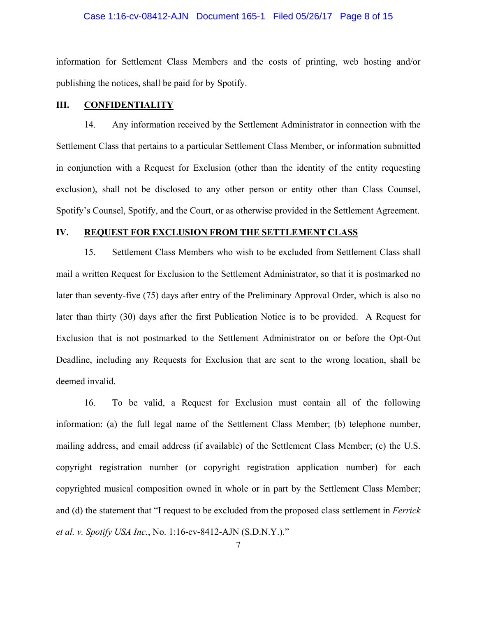## Case 1:16-cv-08412-AJN Document 165-1 Filed 05/26/17 Page 8 of 15

information for Settlement Class Members and the costs of printing, web hosting and/or publishing the notices, shall be paid for by Spotify.

## **III. CONFIDENTIALITY**

14. Any information received by the Settlement Administrator in connection with the Settlement Class that pertains to a particular Settlement Class Member, or information submitted in conjunction with a Request for Exclusion (other than the identity of the entity requesting exclusion), shall not be disclosed to any other person or entity other than Class Counsel, Spotify's Counsel, Spotify, and the Court, or as otherwise provided in the Settlement Agreement.

## **IV. REQUEST FOR EXCLUSION FROM THE SETTLEMENT CLASS**

15. Settlement Class Members who wish to be excluded from Settlement Class shall mail a written Request for Exclusion to the Settlement Administrator, so that it is postmarked no later than seventy-five (75) days after entry of the Preliminary Approval Order, which is also no later than thirty (30) days after the first Publication Notice is to be provided. A Request for Exclusion that is not postmarked to the Settlement Administrator on or before the Opt-Out Deadline, including any Requests for Exclusion that are sent to the wrong location, shall be deemed invalid.

16. To be valid, a Request for Exclusion must contain all of the following information: (a) the full legal name of the Settlement Class Member; (b) telephone number, mailing address, and email address (if available) of the Settlement Class Member; (c) the U.S. copyright registration number (or copyright registration application number) for each copyrighted musical composition owned in whole or in part by the Settlement Class Member; and (d) the statement that "I request to be excluded from the proposed class settlement in *Ferrick et al. v. Spotify USA Inc.*, No. 1:16-cv-8412-AJN (S.D.N.Y.)."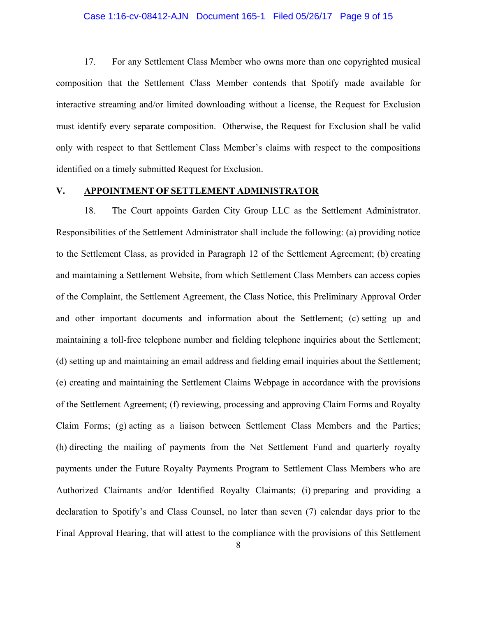#### Case 1:16-cv-08412-AJN Document 165-1 Filed 05/26/17 Page 9 of 15

17. For any Settlement Class Member who owns more than one copyrighted musical composition that the Settlement Class Member contends that Spotify made available for interactive streaming and/or limited downloading without a license, the Request for Exclusion must identify every separate composition. Otherwise, the Request for Exclusion shall be valid only with respect to that Settlement Class Member's claims with respect to the compositions identified on a timely submitted Request for Exclusion.

## **V. APPOINTMENT OF SETTLEMENT ADMINISTRATOR**

18. The Court appoints Garden City Group LLC as the Settlement Administrator. Responsibilities of the Settlement Administrator shall include the following: (a) providing notice to the Settlement Class, as provided in Paragraph 12 of the Settlement Agreement; (b) creating and maintaining a Settlement Website, from which Settlement Class Members can access copies of the Complaint, the Settlement Agreement, the Class Notice, this Preliminary Approval Order and other important documents and information about the Settlement; (c) setting up and maintaining a toll-free telephone number and fielding telephone inquiries about the Settlement; (d) setting up and maintaining an email address and fielding email inquiries about the Settlement; (e) creating and maintaining the Settlement Claims Webpage in accordance with the provisions of the Settlement Agreement; (f) reviewing, processing and approving Claim Forms and Royalty Claim Forms; (g) acting as a liaison between Settlement Class Members and the Parties; (h) directing the mailing of payments from the Net Settlement Fund and quarterly royalty payments under the Future Royalty Payments Program to Settlement Class Members who are Authorized Claimants and/or Identified Royalty Claimants; (i) preparing and providing a declaration to Spotify's and Class Counsel, no later than seven (7) calendar days prior to the Final Approval Hearing, that will attest to the compliance with the provisions of this Settlement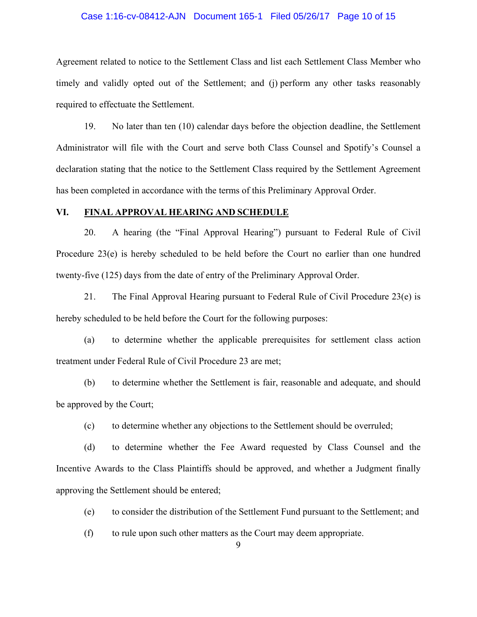## Case 1:16-cv-08412-AJN Document 165-1 Filed 05/26/17 Page 10 of 15

Agreement related to notice to the Settlement Class and list each Settlement Class Member who timely and validly opted out of the Settlement; and (j) perform any other tasks reasonably required to effectuate the Settlement.

19. No later than ten (10) calendar days before the objection deadline, the Settlement Administrator will file with the Court and serve both Class Counsel and Spotify's Counsel a declaration stating that the notice to the Settlement Class required by the Settlement Agreement has been completed in accordance with the terms of this Preliminary Approval Order.

## **VI. FINAL APPROVAL HEARING AND SCHEDULE**

20. A hearing (the "Final Approval Hearing") pursuant to Federal Rule of Civil Procedure 23(e) is hereby scheduled to be held before the Court no earlier than one hundred twenty-five (125) days from the date of entry of the Preliminary Approval Order.

21. The Final Approval Hearing pursuant to Federal Rule of Civil Procedure 23(e) is hereby scheduled to be held before the Court for the following purposes:

(a) to determine whether the applicable prerequisites for settlement class action treatment under Federal Rule of Civil Procedure 23 are met;

(b) to determine whether the Settlement is fair, reasonable and adequate, and should be approved by the Court;

(c) to determine whether any objections to the Settlement should be overruled;

(d) to determine whether the Fee Award requested by Class Counsel and the Incentive Awards to the Class Plaintiffs should be approved, and whether a Judgment finally approving the Settlement should be entered;

(e) to consider the distribution of the Settlement Fund pursuant to the Settlement; and

(f) to rule upon such other matters as the Court may deem appropriate.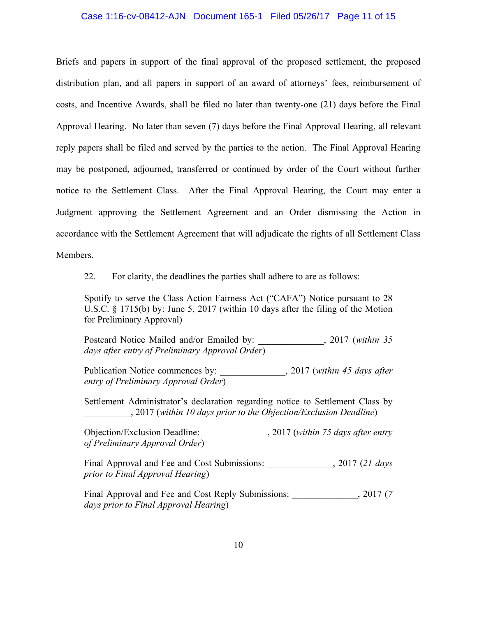## Case 1:16-cv-08412-AJN Document 165-1 Filed 05/26/17 Page 11 of 15

Briefs and papers in support of the final approval of the proposed settlement, the proposed distribution plan, and all papers in support of an award of attorneys' fees, reimbursement of costs, and Incentive Awards, shall be filed no later than twenty-one (21) days before the Final Approval Hearing. No later than seven (7) days before the Final Approval Hearing, all relevant reply papers shall be filed and served by the parties to the action. The Final Approval Hearing may be postponed, adjourned, transferred or continued by order of the Court without further notice to the Settlement Class. After the Final Approval Hearing, the Court may enter a Judgment approving the Settlement Agreement and an Order dismissing the Action in accordance with the Settlement Agreement that will adjudicate the rights of all Settlement Class Members.

22. For clarity, the deadlines the parties shall adhere to are as follows:

Spotify to serve the Class Action Fairness Act ("CAFA") Notice pursuant to 28 U.S.C. § 1715(b) by: June 5, 2017 (within 10 days after the filing of the Motion for Preliminary Approval)

Postcard Notice Mailed and/or Emailed by: \_\_\_\_\_\_\_\_\_\_\_\_\_\_, 2017 (*within 35 days after entry of Preliminary Approval Order*)

Publication Notice commences by:  $2017$  (*within 45 days after entry of Preliminary Approval Order*)

Settlement Administrator's declaration regarding notice to Settlement Class by \_\_\_\_\_\_\_\_\_\_, 2017 (*within 10 days prior to the Objection/Exclusion Deadline*)

Objection/Exclusion Deadline: \_\_\_\_\_\_\_\_\_\_\_\_\_\_, 2017 (*within 75 days after entry of Preliminary Approval Order*)

Final Approval and Fee and Cost Submissions:  $\qquad \qquad$ , 2017 (21 days *prior to Final Approval Hearing*)

Final Approval and Fee and Cost Reply Submissions:  $\frac{2017 (7)}{2017}$ *days prior to Final Approval Hearing*)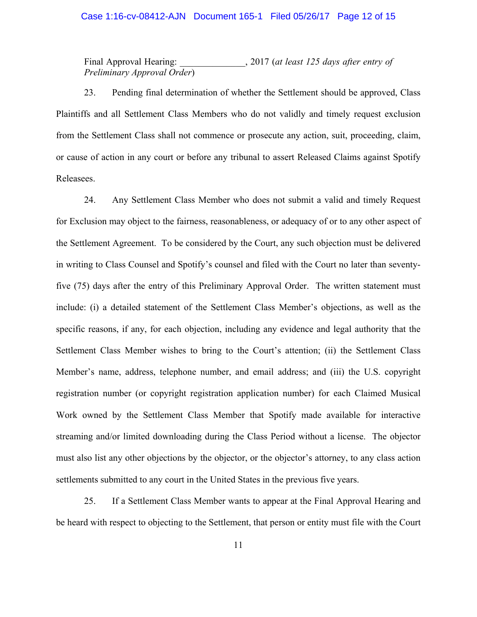## Final Approval Hearing: 2017 (*at least 125 days after entry of Preliminary Approval Order*)

23. Pending final determination of whether the Settlement should be approved, Class Plaintiffs and all Settlement Class Members who do not validly and timely request exclusion from the Settlement Class shall not commence or prosecute any action, suit, proceeding, claim, or cause of action in any court or before any tribunal to assert Released Claims against Spotify Releasees.

24. Any Settlement Class Member who does not submit a valid and timely Request for Exclusion may object to the fairness, reasonableness, or adequacy of or to any other aspect of the Settlement Agreement. To be considered by the Court, any such objection must be delivered in writing to Class Counsel and Spotify's counsel and filed with the Court no later than seventyfive (75) days after the entry of this Preliminary Approval Order. The written statement must include: (i) a detailed statement of the Settlement Class Member's objections, as well as the specific reasons, if any, for each objection, including any evidence and legal authority that the Settlement Class Member wishes to bring to the Court's attention; (ii) the Settlement Class Member's name, address, telephone number, and email address; and (iii) the U.S. copyright registration number (or copyright registration application number) for each Claimed Musical Work owned by the Settlement Class Member that Spotify made available for interactive streaming and/or limited downloading during the Class Period without a license. The objector must also list any other objections by the objector, or the objector's attorney, to any class action settlements submitted to any court in the United States in the previous five years.

25. If a Settlement Class Member wants to appear at the Final Approval Hearing and be heard with respect to objecting to the Settlement, that person or entity must file with the Court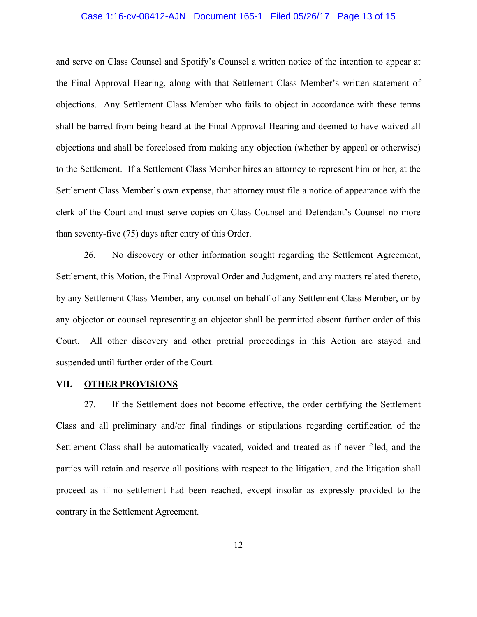## Case 1:16-cv-08412-AJN Document 165-1 Filed 05/26/17 Page 13 of 15

and serve on Class Counsel and Spotify's Counsel a written notice of the intention to appear at the Final Approval Hearing, along with that Settlement Class Member's written statement of objections. Any Settlement Class Member who fails to object in accordance with these terms shall be barred from being heard at the Final Approval Hearing and deemed to have waived all objections and shall be foreclosed from making any objection (whether by appeal or otherwise) to the Settlement. If a Settlement Class Member hires an attorney to represent him or her, at the Settlement Class Member's own expense, that attorney must file a notice of appearance with the clerk of the Court and must serve copies on Class Counsel and Defendant's Counsel no more than seventy-five (75) days after entry of this Order.

26. No discovery or other information sought regarding the Settlement Agreement, Settlement, this Motion, the Final Approval Order and Judgment, and any matters related thereto, by any Settlement Class Member, any counsel on behalf of any Settlement Class Member, or by any objector or counsel representing an objector shall be permitted absent further order of this Court. All other discovery and other pretrial proceedings in this Action are stayed and suspended until further order of the Court.

## **VII. OTHER PROVISIONS**

27. If the Settlement does not become effective, the order certifying the Settlement Class and all preliminary and/or final findings or stipulations regarding certification of the Settlement Class shall be automatically vacated, voided and treated as if never filed, and the parties will retain and reserve all positions with respect to the litigation, and the litigation shall proceed as if no settlement had been reached, except insofar as expressly provided to the contrary in the Settlement Agreement.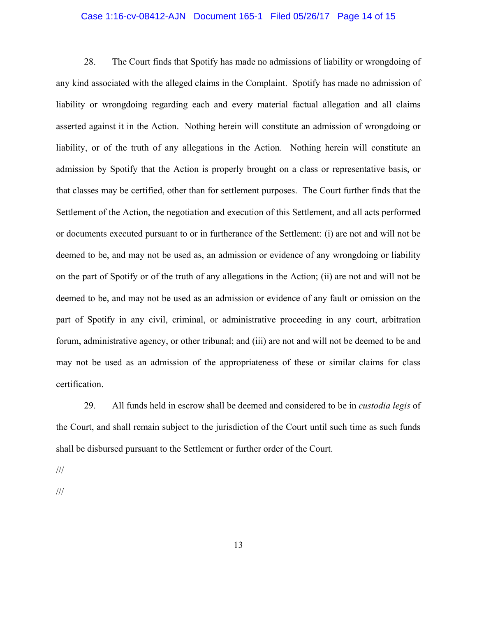## Case 1:16-cv-08412-AJN Document 165-1 Filed 05/26/17 Page 14 of 15

28. The Court finds that Spotify has made no admissions of liability or wrongdoing of any kind associated with the alleged claims in the Complaint. Spotify has made no admission of liability or wrongdoing regarding each and every material factual allegation and all claims asserted against it in the Action. Nothing herein will constitute an admission of wrongdoing or liability, or of the truth of any allegations in the Action. Nothing herein will constitute an admission by Spotify that the Action is properly brought on a class or representative basis, or that classes may be certified, other than for settlement purposes. The Court further finds that the Settlement of the Action, the negotiation and execution of this Settlement, and all acts performed or documents executed pursuant to or in furtherance of the Settlement: (i) are not and will not be deemed to be, and may not be used as, an admission or evidence of any wrongdoing or liability on the part of Spotify or of the truth of any allegations in the Action; (ii) are not and will not be deemed to be, and may not be used as an admission or evidence of any fault or omission on the part of Spotify in any civil, criminal, or administrative proceeding in any court, arbitration forum, administrative agency, or other tribunal; and (iii) are not and will not be deemed to be and may not be used as an admission of the appropriateness of these or similar claims for class certification.

29. All funds held in escrow shall be deemed and considered to be in *custodia legis* of the Court, and shall remain subject to the jurisdiction of the Court until such time as such funds shall be disbursed pursuant to the Settlement or further order of the Court.

///

///